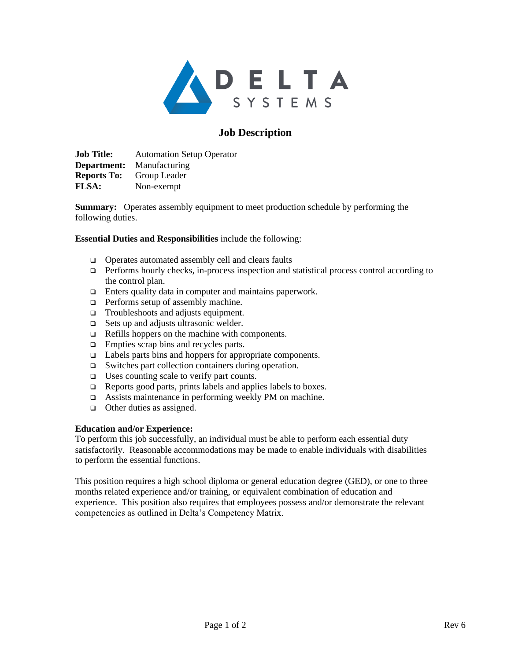

# **Job Description**

**Job Title:** Automation Setup Operator **Department:** Manufacturing **Reports To:** Group Leader **FLSA:** Non-exempt

**Summary:** Operates assembly equipment to meet production schedule by performing the following duties.

### **Essential Duties and Responsibilities** include the following:

- ❑ Operates automated assembly cell and clears faults
- ❑ Performs hourly checks, in-process inspection and statistical process control according to the control plan.
- ❑ Enters quality data in computer and maintains paperwork.
- ❑ Performs setup of assembly machine.
- ❑ Troubleshoots and adjusts equipment.
- ❑ Sets up and adjusts ultrasonic welder.
- ❑ Refills hoppers on the machine with components.
- ❑ Empties scrap bins and recycles parts.
- ❑ Labels parts bins and hoppers for appropriate components.
- ❑ Switches part collection containers during operation.
- ❑ Uses counting scale to verify part counts.
- ❑ Reports good parts, prints labels and applies labels to boxes.
- ❑ Assists maintenance in performing weekly PM on machine.
- ❑ Other duties as assigned.

#### **Education and/or Experience:**

To perform this job successfully, an individual must be able to perform each essential duty satisfactorily. Reasonable accommodations may be made to enable individuals with disabilities to perform the essential functions.

This position requires a high school diploma or general education degree (GED), or one to three months related experience and/or training, or equivalent combination of education and experience. This position also requires that employees possess and/or demonstrate the relevant competencies as outlined in Delta's Competency Matrix.